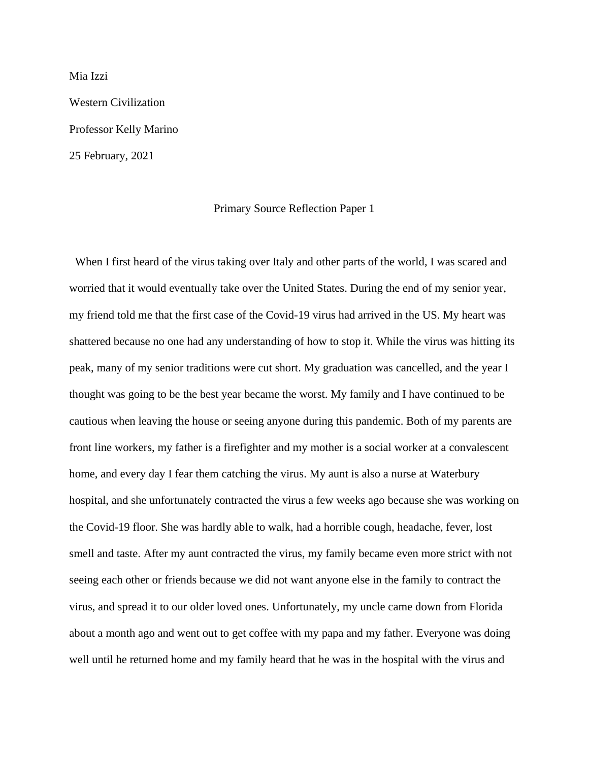Mia Izzi Western Civilization Professor Kelly Marino 25 February, 2021

## Primary Source Reflection Paper 1

When I first heard of the virus taking over Italy and other parts of the world, I was scared and worried that it would eventually take over the United States. During the end of my senior year, my friend told me that the first case of the Covid-19 virus had arrived in the US. My heart was shattered because no one had any understanding of how to stop it. While the virus was hitting its peak, many of my senior traditions were cut short. My graduation was cancelled, and the year I thought was going to be the best year became the worst. My family and I have continued to be cautious when leaving the house or seeing anyone during this pandemic. Both of my parents are front line workers, my father is a firefighter and my mother is a social worker at a convalescent home, and every day I fear them catching the virus. My aunt is also a nurse at Waterbury hospital, and she unfortunately contracted the virus a few weeks ago because she was working on the Covid-19 floor. She was hardly able to walk, had a horrible cough, headache, fever, lost smell and taste. After my aunt contracted the virus, my family became even more strict with not seeing each other or friends because we did not want anyone else in the family to contract the virus, and spread it to our older loved ones. Unfortunately, my uncle came down from Florida about a month ago and went out to get coffee with my papa and my father. Everyone was doing well until he returned home and my family heard that he was in the hospital with the virus and